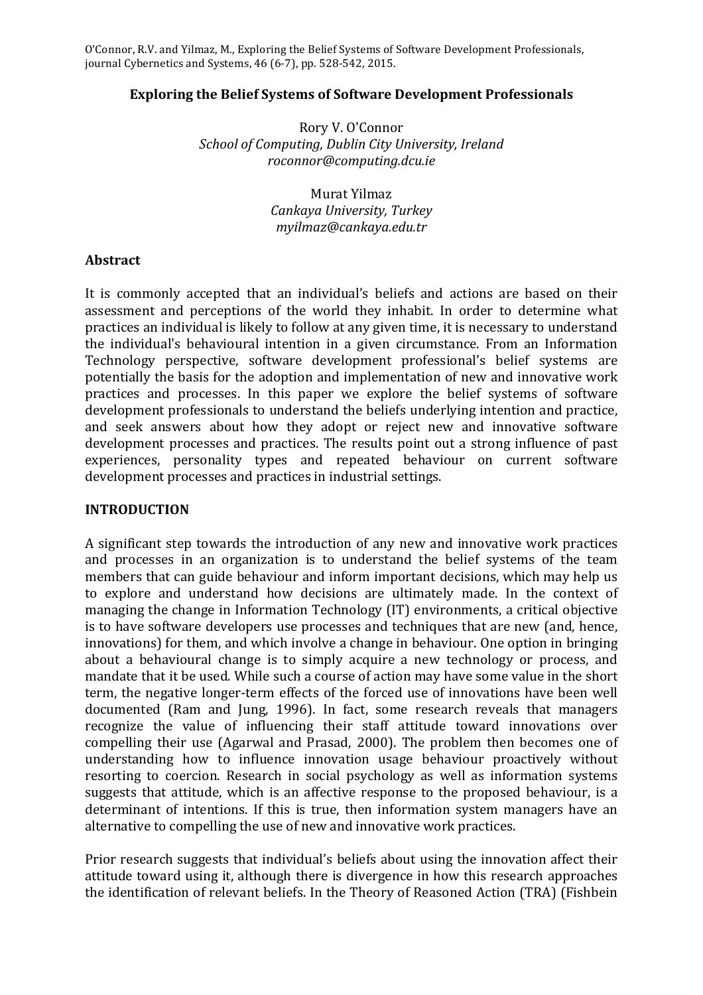### **Exploring the Belief Systems of Software Development Professionals**

Rory V. O'Connor *School of Computing, Dublin City University, Ireland roconnor@computing.dcu.ie*

> Murat Yilmaz *Cankaya University, Turkey myilmaz@cankaya.edu.tr*

## **Abstract**

It is commonly accepted that an individual's beliefs and actions are based on their assessment and perceptions of the world they inhabit. In order to determine what practices an individual is likely to follow at any given time, it is necessary to understand the individual's behavioural intention in a given circumstance. From an Information Technology perspective, software development professional's belief systems are potentially the basis for the adoption and implementation of new and innovative work practices and processes. In this paper we explore the belief systems of software development professionals to understand the beliefs underlying intention and practice, and seek answers about how they adopt or reject new and innovative software development processes and practices. The results point out a strong influence of past experiences, personality types and repeated behaviour on current software development processes and practices in industrial settings.

#### **INTRODUCTION**

A significant step towards the introduction of any new and innovative work practices and processes in an organization is to understand the belief systems of the team members that can guide behaviour and inform important decisions, which may help us to explore and understand how decisions are ultimately made. In the context of managing the change in Information Technology (IT) environments, a critical objective is to have software developers use processes and techniques that are new (and, hence, innovations) for them, and which involve a change in behaviour. One option in bringing about a behavioural change is to simply acquire a new technology or process, and mandate that it be used. While such a course of action may have some value in the short term, the negative longer-term effects of the forced use of innovations have been well documented (Ram and Jung, 1996). In fact, some research reveals that managers recognize the value of influencing their staff attitude toward innovations over compelling their use (Agarwal and Prasad, 2000). The problem then becomes one of understanding how to influence innovation usage behaviour proactively without resorting to coercion. Research in social psychology as well as information systems suggests that attitude, which is an affective response to the proposed behaviour, is a determinant of intentions. If this is true, then information system managers have an alternative to compelling the use of new and innovative work practices.

Prior research suggests that individual's beliefs about using the innovation affect their attitude toward using it, although there is divergence in how this research approaches the identification of relevant beliefs. In the Theory of Reasoned Action (TRA) (Fishbein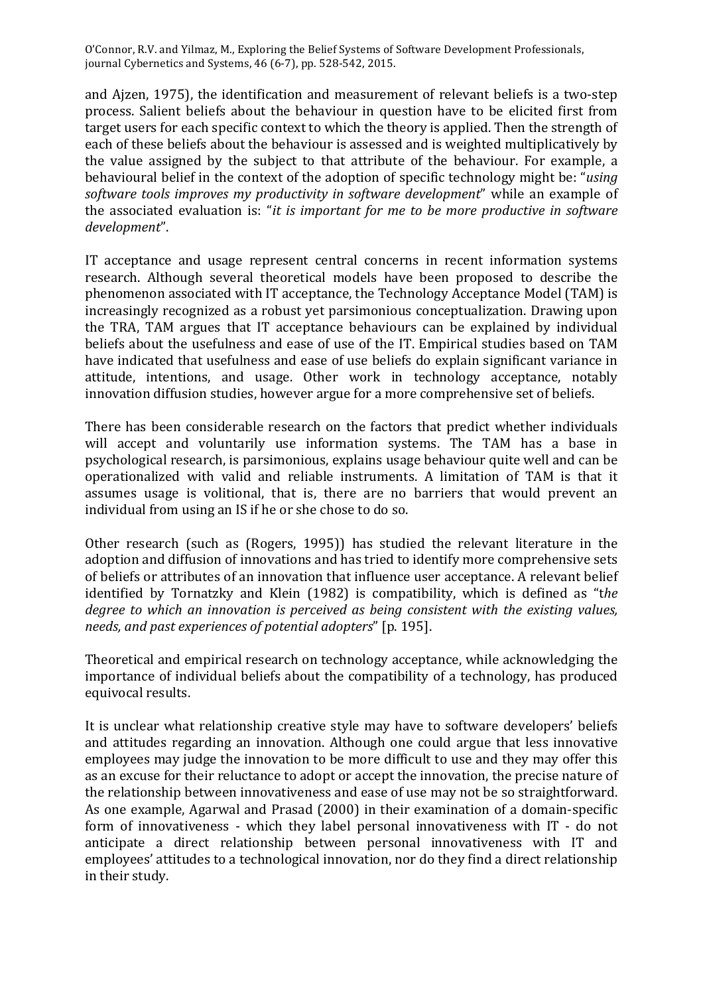and Ajzen, 1975), the identification and measurement of relevant beliefs is a two-step process. Salient beliefs about the behaviour in question have to be elicited first from target users for each specific context to which the theory is applied. Then the strength of each of these beliefs about the behaviour is assessed and is weighted multiplicatively by the value assigned by the subject to that attribute of the behaviour. For example, a behavioural belief in the context of the adoption of specific technology might be: "*using software tools improves my productivity in software development*" while an example of the associated evaluation is: "*it is important for me to be more productive in software development*".

IT acceptance and usage represent central concerns in recent information systems research. Although several theoretical models have been proposed to describe the phenomenon associated with IT acceptance, the Technology Acceptance Model (TAM) is increasingly recognized as a robust yet parsimonious conceptualization. Drawing upon the TRA, TAM argues that IT acceptance behaviours can be explained by individual beliefs about the usefulness and ease of use of the IT. Empirical studies based on TAM have indicated that usefulness and ease of use beliefs do explain significant variance in attitude, intentions, and usage. Other work in technology acceptance, notably innovation diffusion studies, however argue for a more comprehensive set of beliefs.

There has been considerable research on the factors that predict whether individuals will accept and voluntarily use information systems. The TAM has a base in psychological research, is parsimonious, explains usage behaviour quite well and can be operationalized with valid and reliable instruments. A limitation of TAM is that it assumes usage is volitional, that is, there are no barriers that would prevent an individual from using an IS if he or she chose to do so.

Other research (such as (Rogers, 1995)) has studied the relevant literature in the adoption and diffusion of innovations and has tried to identify more comprehensive sets of beliefs or attributes of an innovation that influence user acceptance. A relevant belief identified by Tornatzky and Klein (1982) is compatibility, which is defined as "the *dearee to which an innovation is perceived as being consistent with the existing values, needs, and past experiences of potential adopters*" [p. 195].

Theoretical and empirical research on technology acceptance, while acknowledging the importance of individual beliefs about the compatibility of a technology, has produced equivocal results.

It is unclear what relationship creative style may have to software developers' beliefs and attitudes regarding an innovation. Although one could argue that less innovative employees may judge the innovation to be more difficult to use and they may offer this as an excuse for their reluctance to adopt or accept the innovation, the precise nature of the relationship between innovativeness and ease of use may not be so straightforward. As one example, Agarwal and Prasad (2000) in their examination of a domain-specific form of innovativeness - which they label personal innovativeness with  $IT - do not$ anticipate a direct relationship between personal innovativeness with IT and employees' attitudes to a technological innovation, nor do they find a direct relationship in their study.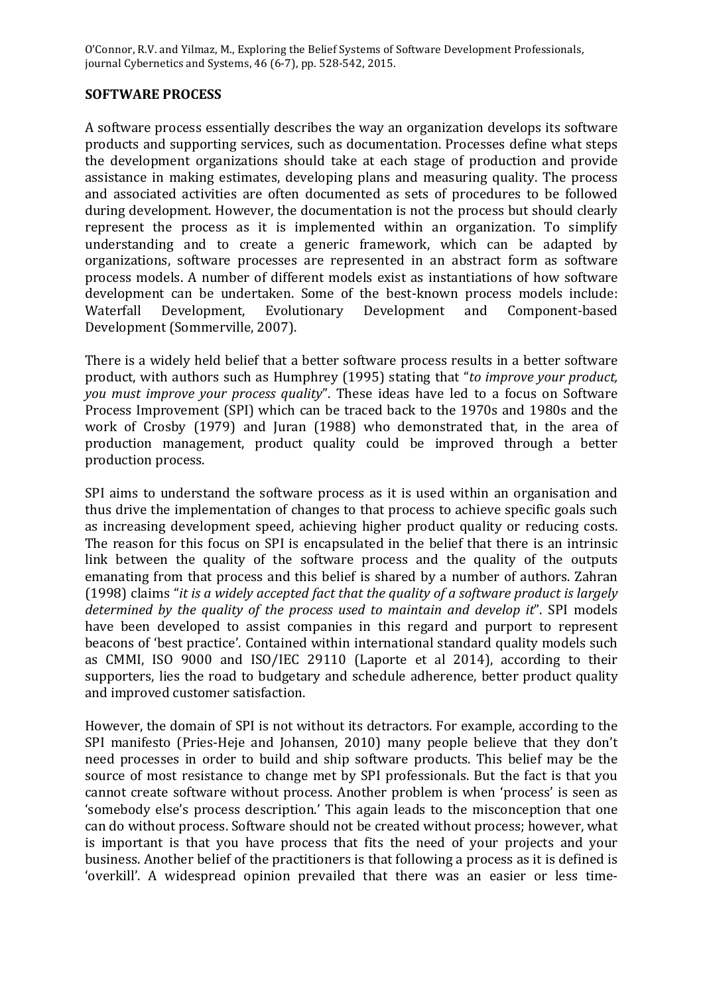### **SOFTWARE PROCESS**

A software process essentially describes the way an organization develops its software products and supporting services, such as documentation. Processes define what steps the development organizations should take at each stage of production and provide assistance in making estimates, developing plans and measuring quality. The process and associated activities are often documented as sets of procedures to be followed during development. However, the documentation is not the process but should clearly represent the process as it is implemented within an organization. To simplify understanding and to create a generic framework, which can be adapted by organizations, software processes are represented in an abstract form as software process models. A number of different models exist as instantiations of how software development can be undertaken. Some of the best-known process models include: Waterfall Development, Evolutionary Development and Component-based Development (Sommerville, 2007).

There is a widely held belief that a better software process results in a better software product, with authors such as Humphrey (1995) stating that "*to improve your product*, *you* must *improve your process quality*". These ideas have led to a focus on Software Process Improvement (SPI) which can be traced back to the 1970s and 1980s and the work of Crosby (1979) and Juran (1988) who demonstrated that, in the area of production management, product quality could be improved through a better production process.

SPI aims to understand the software process as it is used within an organisation and thus drive the implementation of changes to that process to achieve specific goals such as increasing development speed, achieving higher product quality or reducing costs. The reason for this focus on SPI is encapsulated in the belief that there is an intrinsic link between the quality of the software process and the quality of the outputs emanating from that process and this belief is shared by a number of authors. Zahran (1998) claims "*it is a widely accepted fact that the quality of a software product is largely determined by the quality of the process used to maintain and develop it*". SPI models have been developed to assist companies in this regard and purport to represent beacons of 'best practice'. Contained within international standard quality models such as CMMI, ISO 9000 and ISO/IEC 29110 (Laporte et al 2014), according to their supporters, lies the road to budgetary and schedule adherence, better product quality and improved customer satisfaction.

However, the domain of SPI is not without its detractors. For example, according to the SPI manifesto (Pries-Heje and Johansen, 2010) many people believe that they don't need processes in order to build and ship software products. This belief may be the source of most resistance to change met by SPI professionals. But the fact is that you cannot create software without process. Another problem is when 'process' is seen as 'somebody else's process description.' This again leads to the misconception that one can do without process. Software should not be created without process; however, what is important is that you have process that fits the need of your projects and your business. Another belief of the practitioners is that following a process as it is defined is 'overkill'. A widespread opinion prevailed that there was an easier or less time-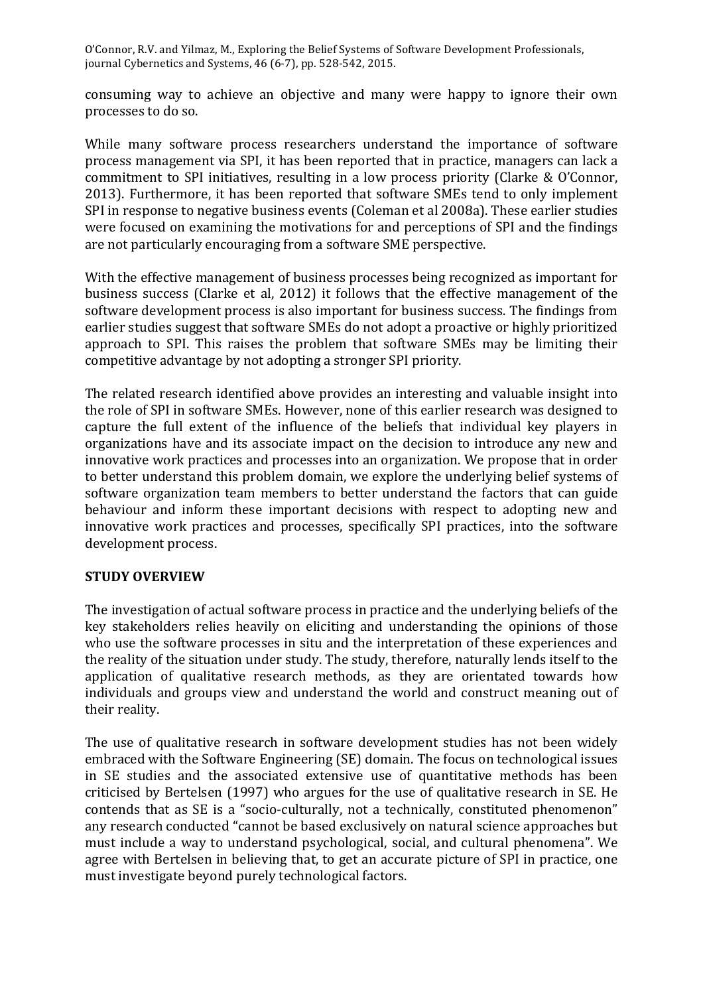consuming way to achieve an objective and many were happy to ignore their own processes to do so.

While many software process researchers understand the importance of software process management via SPI, it has been reported that in practice, managers can lack a commitment to SPI initiatives, resulting in a low process priority (Clarke & O'Connor, 2013). Furthermore, it has been reported that software SMEs tend to only implement SPI in response to negative business events (Coleman et al 2008a). These earlier studies were focused on examining the motivations for and perceptions of SPI and the findings are not particularly encouraging from a software SME perspective.

With the effective management of business processes being recognized as important for business success (Clarke et al, 2012) it follows that the effective management of the software development process is also important for business success. The findings from earlier studies suggest that software SMEs do not adopt a proactive or highly prioritized approach to SPI. This raises the problem that software SMEs may be limiting their competitive advantage by not adopting a stronger SPI priority.

The related research identified above provides an interesting and valuable insight into the role of SPI in software SMEs. However, none of this earlier research was designed to capture the full extent of the influence of the beliefs that individual key players in organizations have and its associate impact on the decision to introduce any new and innovative work practices and processes into an organization. We propose that in order to better understand this problem domain, we explore the underlying belief systems of software organization team members to better understand the factors that can guide behaviour and inform these important decisions with respect to adopting new and innovative work practices and processes, specifically SPI practices, into the software development process.

## **STUDY OVERVIEW**

The investigation of actual software process in practice and the underlying beliefs of the key stakeholders relies heavily on eliciting and understanding the opinions of those who use the software processes in situ and the interpretation of these experiences and the reality of the situation under study. The study, therefore, naturally lends itself to the application of qualitative research methods, as they are orientated towards how individuals and groups view and understand the world and construct meaning out of their reality.

The use of qualitative research in software development studies has not been widely embraced with the Software Engineering (SE) domain. The focus on technological issues in SE studies and the associated extensive use of quantitative methods has been criticised by Bertelsen (1997) who argues for the use of qualitative research in SE. He contends that as SE is a "socio-culturally, not a technically, constituted phenomenon" any research conducted "cannot be based exclusively on natural science approaches but must include a way to understand psychological, social, and cultural phenomena". We agree with Bertelsen in believing that, to get an accurate picture of SPI in practice, one must investigate beyond purely technological factors.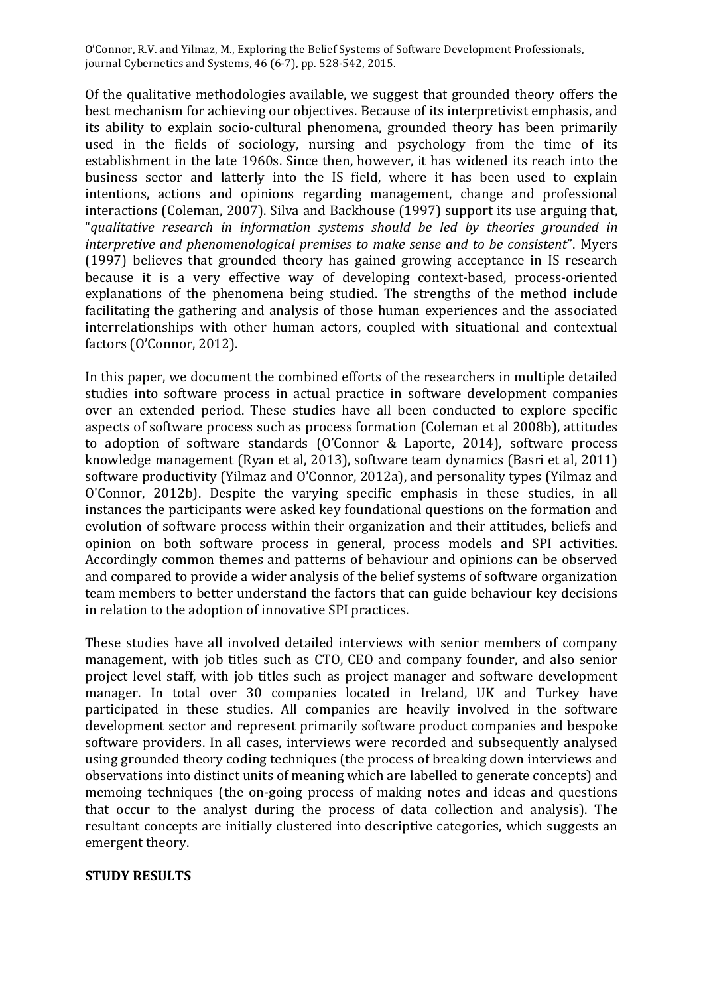Of the qualitative methodologies available, we suggest that grounded theory offers the best mechanism for achieving our objectives. Because of its interpretivist emphasis, and its ability to explain socio-cultural phenomena, grounded theory has been primarily used in the fields of sociology, nursing and psychology from the time of its establishment in the late 1960s. Since then, however, it has widened its reach into the business sector and latterly into the IS field, where it has been used to explain intentions, actions and opinions regarding management, change and professional interactions (Coleman, 2007). Silva and Backhouse (1997) support its use arguing that, "*qualitative research in information systems should be led by theories grounded in interpretive and phenomenological premises to make sense and to be consistent*". Myers (1997) believes that grounded theory has gained growing acceptance in IS research because it is a very effective way of developing context-based, process-oriented explanations of the phenomena being studied. The strengths of the method include facilitating the gathering and analysis of those human experiences and the associated interrelationships with other human actors, coupled with situational and contextual factors (O'Connor, 2012).

In this paper, we document the combined efforts of the researchers in multiple detailed studies into software process in actual practice in software development companies over an extended period. These studies have all been conducted to explore specific aspects of software process such as process formation (Coleman et al 2008b), attitudes to adoption of software standards (O'Connor & Laporte, 2014), software process knowledge management (Ryan et al, 2013), software team dynamics (Basri et al, 2011) software productivity (Yilmaz and O'Connor, 2012a), and personality types (Yilmaz and  $O'$ Connor, 2012b). Despite the varying specific emphasis in these studies, in all instances the participants were asked key foundational questions on the formation and evolution of software process within their organization and their attitudes, beliefs and opinion on both software process in general, process models and SPI activities. Accordingly common themes and patterns of behaviour and opinions can be observed and compared to provide a wider analysis of the belief systems of software organization team members to better understand the factors that can guide behaviour key decisions in relation to the adoption of innovative SPI practices.

These studies have all involved detailed interviews with senior members of company management, with job titles such as CTO, CEO and company founder, and also senior project level staff, with job titles such as project manager and software development manager. In total over 30 companies located in Ireland, UK and Turkey have participated in these studies. All companies are heavily involved in the software development sector and represent primarily software product companies and bespoke software providers. In all cases, interviews were recorded and subsequently analysed using grounded theory coding techniques (the process of breaking down interviews and observations into distinct units of meaning which are labelled to generate concepts) and memoing techniques (the on-going process of making notes and ideas and questions that occur to the analyst during the process of data collection and analysis). The resultant concepts are initially clustered into descriptive categories, which suggests an emergent theory.

## **STUDY RESULTS**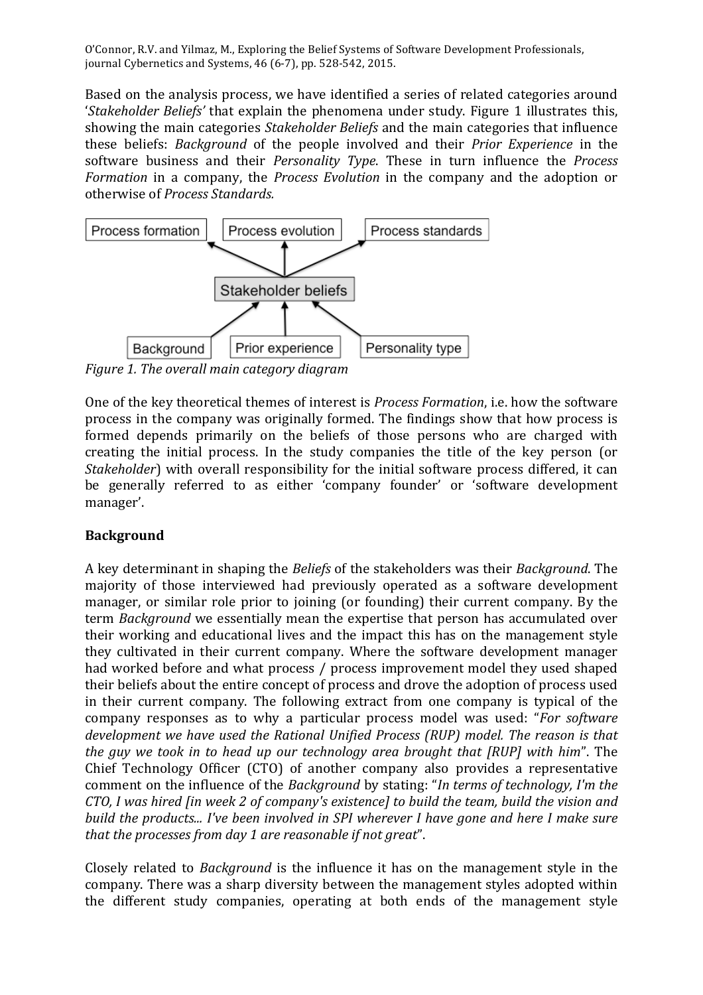Based on the analysis process, we have identified a series of related categories around '*Stakeholder Beliefs'* that explain the phenomena under study. Figure 1 illustrates this, showing the main categories *Stakeholder Beliefs* and the main categories that influence these beliefs: *Background* of the people involved and their *Prior Experience* in the software business and their *Personality Type*. These in turn influence the *Process Formation* in a company, the *Process Evolution* in the company and the adoption or otherwise of *Process Standards.*



*Figure 1. The overall main category diagram*

One of the key theoretical themes of interest is *Process Formation*, i.e. how the software process in the company was originally formed. The findings show that how process is formed depends primarily on the beliefs of those persons who are charged with creating the initial process. In the study companies the title of the key person (or *Stakeholder*) with overall responsibility for the initial software process differed, it can be generally referred to as either 'company founder' or 'software development manager'.

## **Background**

A key determinant in shaping the *Beliefs* of the stakeholders was their *Background*. The majority of those interviewed had previously operated as a software development manager, or similar role prior to joining (or founding) their current company. By the term *Background* we essentially mean the expertise that person has accumulated over their working and educational lives and the impact this has on the management style they cultivated in their current company. Where the software development manager had worked before and what process / process improvement model they used shaped their beliefs about the entire concept of process and drove the adoption of process used in their current company. The following extract from one company is typical of the company responses as to why a particular process model was used: "*For software* development we have used the Rational Unified Process (RUP) model. The reason is that *the guy* we took in to head up our technology area brought that *[RUP]* with him". The Chief Technology Officer (CTO) of another company also provides a representative comment on the influence of the *Background* by stating: "*In terms of technology, I'm the CTO, I* was hired *fin* week 2 of company's existence] to build the team, build the vision and *build the products... I've been involved in SPI wherever I have gone and here I make sure that the processes from day 1 are reasonable if not areat".* 

Closely related to *Background* is the influence it has on the management style in the company. There was a sharp diversity between the management styles adopted within the different study companies, operating at both ends of the management style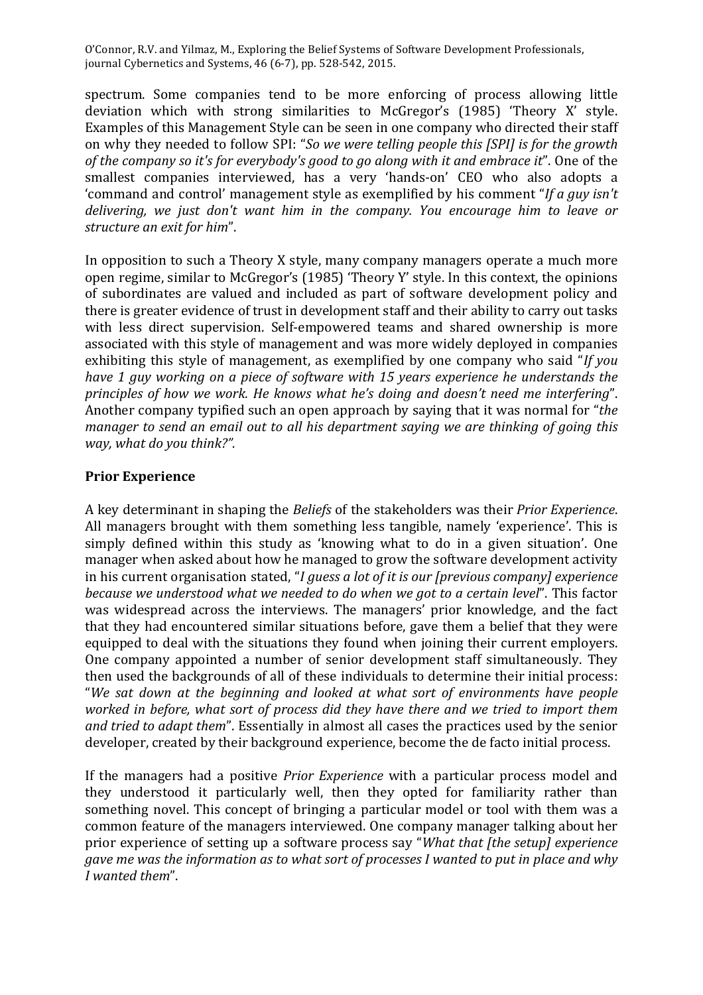spectrum. Some companies tend to be more enforcing of process allowing little deviation which with strong similarities to McGregor's (1985) 'Theory X' style. Examples of this Management Style can be seen in one company who directed their staff on why they needed to follow SPI: "So we were telling people this [SPI] is for the growth *of the company so it's for everybody's good to go along with it and embrace it"*. One of the smallest companies interviewed, has a very 'hands-on' CEO who also adopts a 'command and control' management style as exemplified by his comment "*If a guy isn't* delivering, we just don't want him in the company. You encourage him to leave or *structure an exit for him".* 

In opposition to such a Theory X style, many company managers operate a much more open regime, similar to McGregor's (1985) 'Theory Y' style. In this context, the opinions of subordinates are valued and included as part of software development policy and there is greater evidence of trust in development staff and their ability to carry out tasks with less direct supervision. Self-empowered teams and shared ownership is more associated with this style of management and was more widely deployed in companies exhibiting this style of management, as exemplified by one company who said "*If you have* 1 guy working on a piece of software with 15 years experience he understands the *principles of how we work. He knows what he's doing and doesn't need me interfering*". Another company typified such an open approach by saying that it was normal for "*the manager to send an email out to all his department saying we are thinking of going this* way, what do you think?".

### **Prior Experience**

A key determinant in shaping the *Beliefs* of the stakeholders was their *Prior Experience*. All managers brought with them something less tangible, namely 'experience'. This is simply defined within this study as 'knowing what to do in a given situation'. One manager when asked about how he managed to grow the software development activity in his current organisation stated, "*I* quess a lot of it is our [previous company] experience *because* we understood what we needed to do when we got to a certain level". This factor was widespread across the interviews. The managers' prior knowledge, and the fact that they had encountered similar situations before, gave them a belief that they were equipped to deal with the situations they found when joining their current employers. One company appointed a number of senior development staff simultaneously. They then used the backgrounds of all of these individuals to determine their initial process: "We sat down at the beginning and looked at what sort of environments have people *worked in before, what sort of process did they have there and we tried to import them and tried to adapt them*". Essentially in almost all cases the practices used by the senior developer, created by their background experience, become the de facto initial process.

If the managers had a positive *Prior Experience* with a particular process model and they understood it particularly well, then they opted for familiarity rather than something novel. This concept of bringing a particular model or tool with them was a common feature of the managers interviewed. One company manager talking about her prior experience of setting up a software process say "*What that [the setup] experience gave me was the information as to what sort of processes I wanted to put in place and why I wanted them*".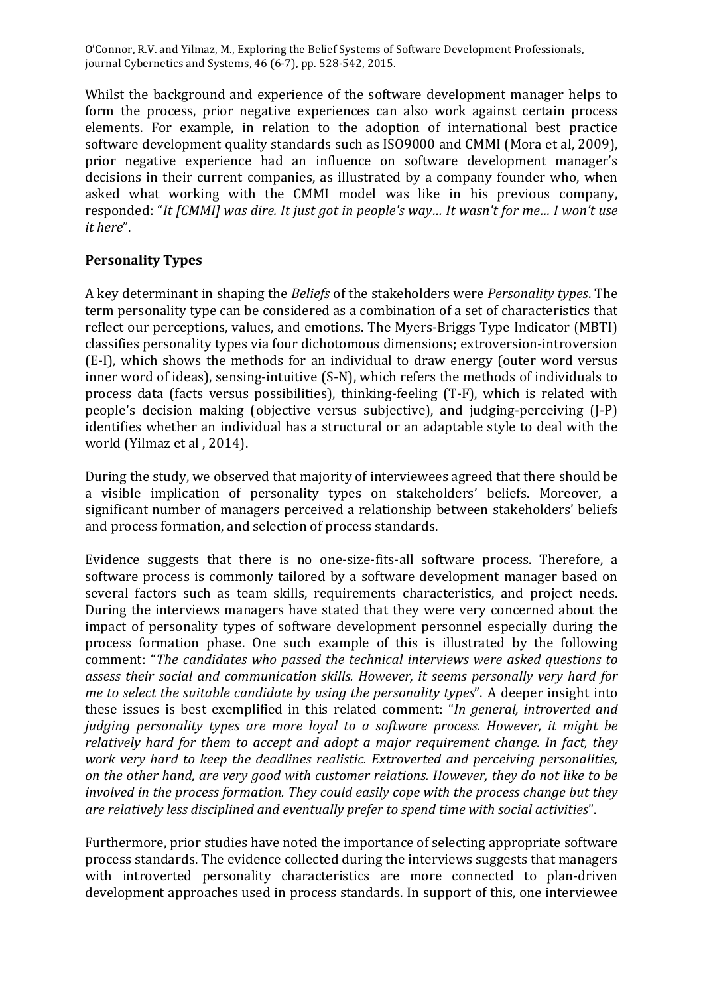Whilst the background and experience of the software development manager helps to form the process, prior negative experiences can also work against certain process elements. For example, in relation to the adoption of international best practice software development quality standards such as ISO9000 and CMMI (Mora et al, 2009), prior negative experience had an influence on software development manager's decisions in their current companies, as illustrated by a company founder who, when asked what working with the CMMI model was like in his previous company, responded: "It [CMMI] was dire. It just got in people's way... It wasn't for me... I won't use *it here*".

# **Personality Types**

A key determinant in shaping the *Beliefs* of the stakeholders were *Personality types*. The term personality type can be considered as a combination of a set of characteristics that reflect our perceptions, values, and emotions. The Myers-Briggs Type Indicator (MBTI) classifies personality types via four dichotomous dimensions; extroversion-introversion  $(E-I)$ , which shows the methods for an individual to draw energy (outer word versus inner word of ideas), sensing-intuitive (S-N), which refers the methods of individuals to process data (facts versus possibilities), thinking-feeling (T-F), which is related with people's decision making (objective versus subjective), and judging-perceiving (I-P) identifies whether an individual has a structural or an adaptable style to deal with the world (Yilmaz et al, 2014).

During the study, we observed that majority of interviewees agreed that there should be a visible implication of personality types on stakeholders' beliefs. Moreover, a significant number of managers perceived a relationship between stakeholders' beliefs and process formation, and selection of process standards.

Evidence suggests that there is no one-size-fits-all software process. Therefore, a software process is commonly tailored by a software development manager based on several factors such as team skills, requirements characteristics, and project needs. During the interviews managers have stated that they were very concerned about the impact of personality types of software development personnel especially during the process formation phase. One such example of this is illustrated by the following comment: "*The candidates who passed the technical interviews were asked questions to* assess their social and communication skills. However, it seems personally very hard for *me* to select the suitable candidate by using the personality types". A deeper insight into these issues is best exemplified in this related comment: "*In general, introverted and judging personality types are more loyal to a software process. However, it might be relatively hard for them to accept and adopt a major requirement change. In fact, they work very hard to keep the deadlines realistic. Extroverted and perceiving personalities,* on the other hand, are very good with customer relations. However, they do not like to be *involved* in the process formation. They could easily cope with the process change but they *are relatively less disciplined and eventually prefer to spend time with social activities".* 

Furthermore, prior studies have noted the importance of selecting appropriate software process standards. The evidence collected during the interviews suggests that managers with introverted personality characteristics are more connected to plan-driven development approaches used in process standards. In support of this, one interviewee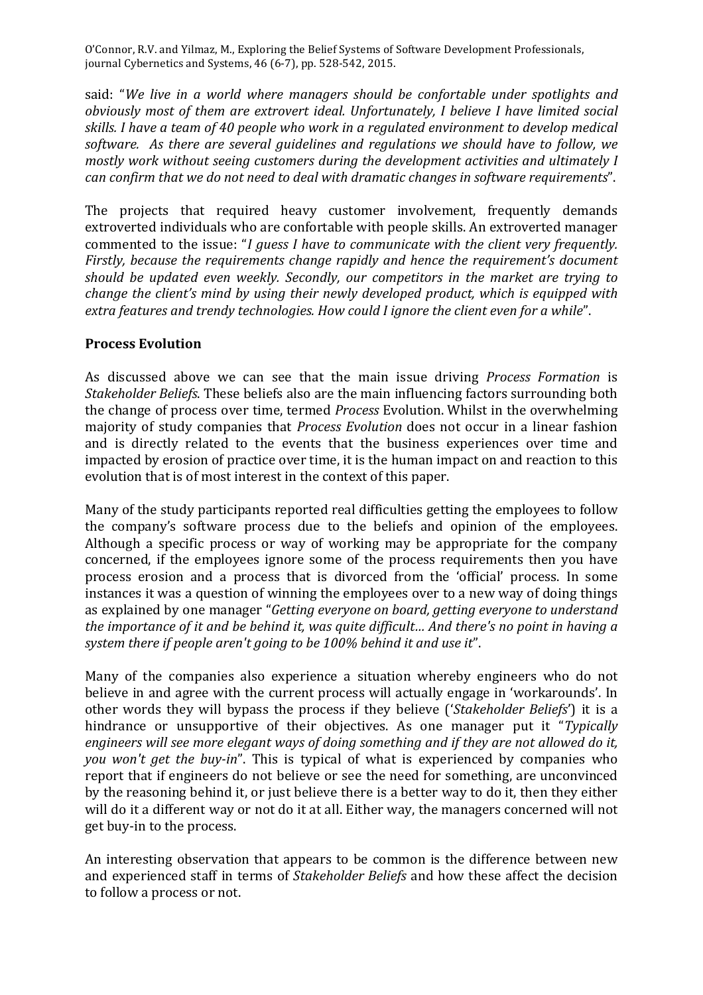said: "We live in a world where managers should be confortable under spotlights and *obviously most of them are extrovert ideal. Unfortunately, I believe I have limited social skills.* I have a team of 40 people who work in a regulated environment to develop medical software. As there are several guidelines and regulations we should have to follow, we *mostly work without seeing customers during the development activities and ultimately I can confirm that we do not need to deal with dramatic changes in software requirements".* 

The projects that required heavy customer involvement, frequently demands extroverted individuals who are confortable with people skills. An extroverted manager commented to the issue: "*I* guess *I* have to communicate with the client very frequently. *Firstly, because the requirements change rapidly and hence the requirement's document should be updated even weekly. Secondly, our competitors in the market are trying to change the client's mind by using their newly developed product, which is equipped with extra features and trendy technologies. How could I ignore the client even for a while".* 

# **Process Evolution**

As discussed above we can see that the main issue driving *Process Formation* is *Stakeholder Beliefs*. These beliefs also are the main influencing factors surrounding both the change of process over time, termed *Process* Evolution. Whilst in the overwhelming majority of study companies that *Process Evolution* does not occur in a linear fashion and is directly related to the events that the business experiences over time and impacted by erosion of practice over time, it is the human impact on and reaction to this evolution that is of most interest in the context of this paper.

Many of the study participants reported real difficulties getting the employees to follow the company's software process due to the beliefs and opinion of the employees. Although a specific process or way of working may be appropriate for the company concerned, if the employees ignore some of the process requirements then you have process erosion and a process that is divorced from the 'official' process. In some instances it was a question of winning the employees over to a new way of doing things as explained by one manager "*Getting everyone on board, getting everyone to understand the importance of it and be behind it, was quite difficult... And there's no point in having a system there if people aren't going to be 100% behind it and use it"*.

Many of the companies also experience a situation whereby engineers who do not believe in and agree with the current process will actually engage in 'workarounds'. In other words they will bypass the process if they believe ('*Stakeholder Beliefs'*) it is a hindrance or unsupportive of their objectives. As one manager put it "Typically *engineers will see more elegant ways of doing something and if they are not allowed do it, you* won't get the buy-in". This is typical of what is experienced by companies who report that if engineers do not believe or see the need for something, are unconvinced by the reasoning behind it, or just believe there is a better way to do it, then they either will do it a different way or not do it at all. Either way, the managers concerned will not get buy-in to the process.

An interesting observation that appears to be common is the difference between new and experienced staff in terms of *Stakeholder Beliefs* and how these affect the decision to follow a process or not.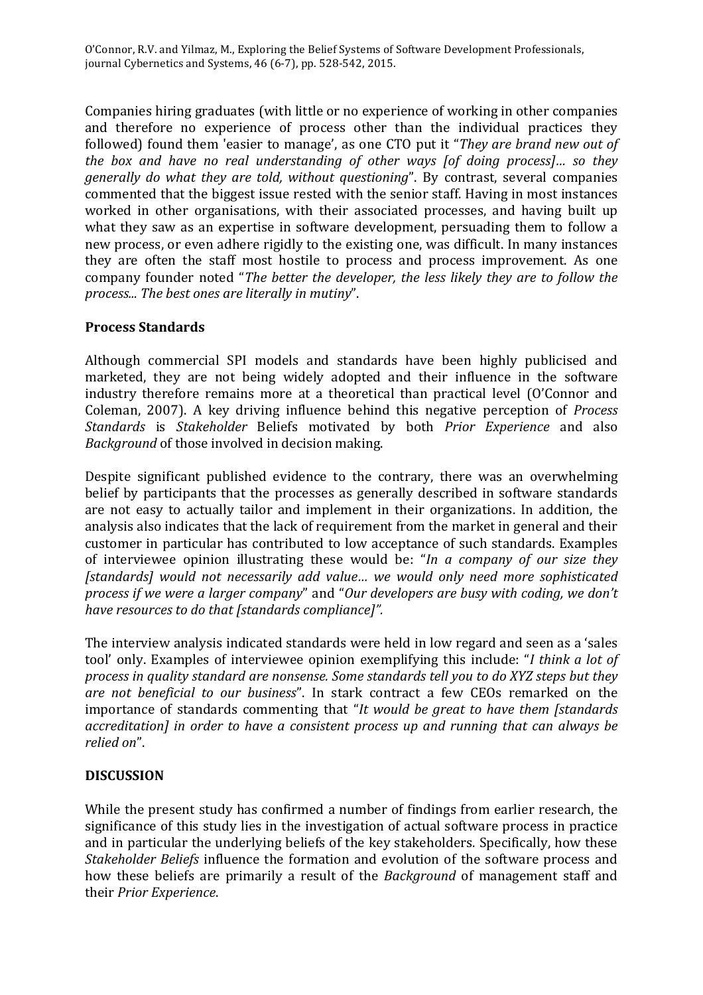Companies hiring graduates (with little or no experience of working in other companies and therefore no experience of process other than the individual practices they followed) found them 'easier to manage', as one CTO put it "*They are brand new out of the box and have no real understanding of other ways [of doing process]... so they generally* do what they are told, without questioning". By contrast, several companies commented that the biggest issue rested with the senior staff. Having in most instances worked in other organisations, with their associated processes, and having built up what they saw as an expertise in software development, persuading them to follow a new process, or even adhere rigidly to the existing one, was difficult. In many instances they are often the staff most hostile to process and process improvement. As one company founder noted "*The better the developer, the less likely they are to follow the process... The best ones are literally in mutiny*".

## **Process Standards**

Although commercial SPI models and standards have been highly publicised and marketed, they are not being widely adopted and their influence in the software industry therefore remains more at a theoretical than practical level (O'Connor and Coleman, 2007). A key driving influence behind this negative perception of *Process Standards* is *Stakeholder* Beliefs motivated by both *Prior Experience* and also *Background* of those involved in decision making.

Despite significant published evidence to the contrary, there was an overwhelming belief by participants that the processes as generally described in software standards are not easy to actually tailor and implement in their organizations. In addition, the analysis also indicates that the lack of requirement from the market in general and their customer in particular has contributed to low acceptance of such standards. Examples of interviewee opinion illustrating these would be: "*In a company of our size they [standards]* would not necessarily add value... we would only need more sophisticated *process if we were a larger company*" and "*Our developers are busy with coding, we don't* have resources to do that [standards compliance]".

The interview analysis indicated standards were held in low regard and seen as a 'sales tool' only. Examples of interviewee opinion exemplifying this include: "*I* think a lot of *process in quality standard are nonsense. Some standards tell you to do XYZ steps but they are not beneficial to our business*". In stark contract a few CEOs remarked on the importance of standards commenting that "*It would be great to have them [standards accreditation]* in order to have a consistent process up and running that can always be *relied on*". 

## **DISCUSSION**

While the present study has confirmed a number of findings from earlier research, the significance of this study lies in the investigation of actual software process in practice and in particular the underlying beliefs of the key stakeholders. Specifically, how these *Stakeholder Beliefs* influence the formation and evolution of the software process and how these beliefs are primarily a result of the *Background* of management staff and their *Prior Experience*.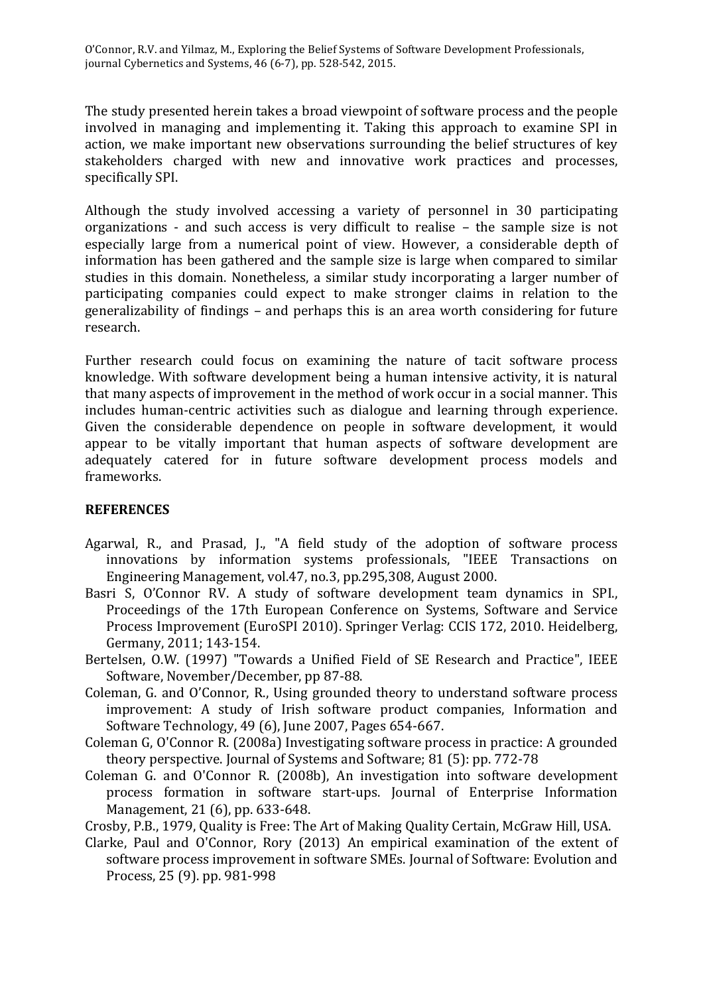The study presented herein takes a broad viewpoint of software process and the people involved in managing and implementing it. Taking this approach to examine SPI in action, we make important new observations surrounding the belief structures of key stakeholders charged with new and innovative work practices and processes, specifically SPI.

Although the study involved accessing a variety of personnel in 30 participating organizations - and such access is very difficult to realise – the sample size is not especially large from a numerical point of view. However, a considerable depth of information has been gathered and the sample size is large when compared to similar studies in this domain. Nonetheless, a similar study incorporating a larger number of participating companies could expect to make stronger claims in relation to the generalizability of findings – and perhaps this is an area worth considering for future research.

Further research could focus on examining the nature of tacit software process knowledge. With software development being a human intensive activity, it is natural that many aspects of improvement in the method of work occur in a social manner. This includes human-centric activities such as dialogue and learning through experience. Given the considerable dependence on people in software development, it would appear to be vitally important that human aspects of software development are adequately catered for in future software development process models and frameworks.

#### **REFERENCES**

- Agarwal, R., and Prasad, J., "A field study of the adoption of software process innovations by information systems professionals, "IEEE Transactions on Engineering Management, vol.47, no.3, pp.295,308, August 2000.
- Basri S, O'Connor RV. A study of software development team dynamics in SPI. Proceedings of the 17th European Conference on Systems, Software and Service Process Improvement (EuroSPI 2010). Springer Verlag: CCIS 172, 2010. Heidelberg, Germany, 2011: 143-154.
- Bertelsen, O.W. (1997) "Towards a Unified Field of SE Research and Practice", IEEE Software, November/December, pp 87-88.
- Coleman, G. and O'Connor, R., Using grounded theory to understand software process improvement: A study of Irish software product companies, Information and Software Technology, 49 (6), June 2007, Pages 654-667.
- Coleman G, O'Connor R. (2008a) Investigating software process in practice: A grounded theory perspective. Journal of Systems and Software: 81 (5): pp. 772-78
- Coleman G. and O'Connor R. (2008b), An investigation into software development process formation in software start-ups. Journal of Enterprise Information Management, 21 (6), pp. 633-648.
- Crosby, P.B., 1979, Quality is Free: The Art of Making Quality Certain, McGraw Hill, USA.
- Clarke, Paul and O'Connor, Rory  $(2013)$  An empirical examination of the extent of software process improvement in software SMEs. Journal of Software: Evolution and Process, 25 (9). pp. 981-998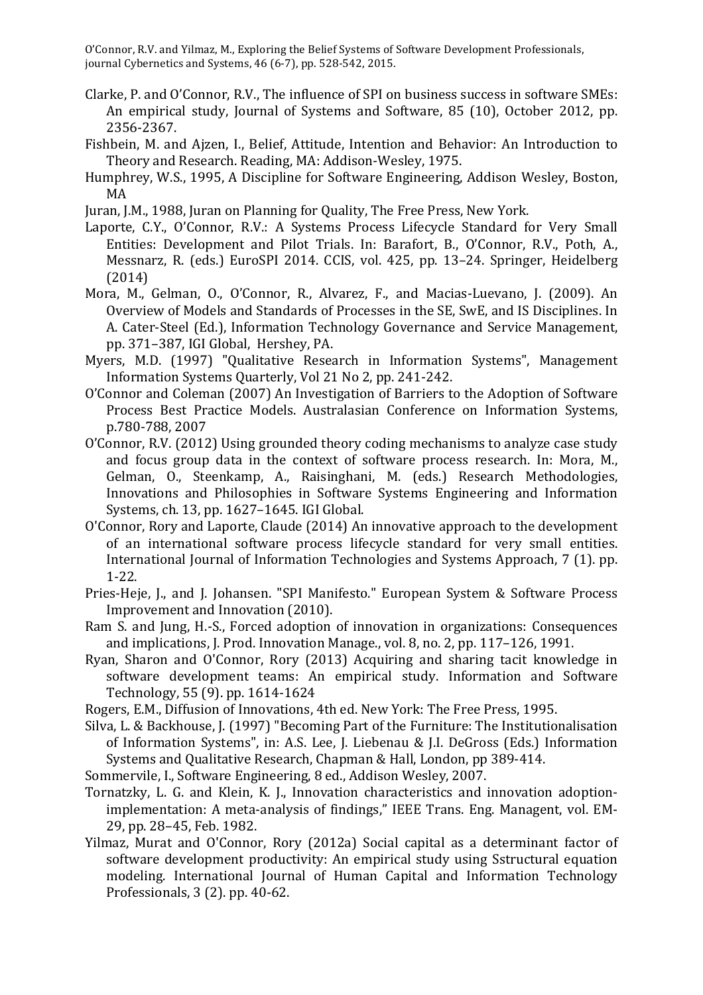- Clarke, P. and O'Connor, R.V., The influence of SPI on business success in software SMEs: An empirical study, Journal of Systems and Software, 85 (10), October 2012, pp. 2356-2367.
- Fishbein, M. and Ajzen, I., Belief, Attitude, Intention and Behavior: An Introduction to Theory and Research. Reading, MA: Addison-Wesley, 1975.
- Humphrey, W.S., 1995, A Discipline for Software Engineering, Addison Wesley, Boston, MA
- Juran, J.M., 1988, Juran on Planning for Quality, The Free Press, New York.
- Laporte, C.Y., O'Connor, R.V.: A Systems Process Lifecycle Standard for Very Small Entities: Development and Pilot Trials. In: Barafort, B., O'Connor, R.V., Poth, A., Messnarz, R. (eds.) EuroSPI 2014. CCIS, vol. 425, pp. 13–24. Springer, Heidelberg (2014)
- Mora, M., Gelman, O., O'Connor, R., Alvarez, F., and Macias-Luevano, J. (2009). An Overview of Models and Standards of Processes in the SE, SwE, and IS Disciplines. In A. Cater-Steel (Ed.), Information Technology Governance and Service Management, pp. 371–387, IGI Global, Hershey, PA.
- Myers, M.D. (1997) "Qualitative Research in Information Systems", Management Information Systems Quarterly, Vol 21 No 2, pp. 241-242.
- O'Connor and Coleman (2007) An Investigation of Barriers to the Adoption of Software Process Best Practice Models. Australasian Conference on Information Systems, p.780-788, 2007
- O'Connor, R.V. (2012) Using grounded theory coding mechanisms to analyze case study and focus group data in the context of software process research. In: Mora, M., Gelman, O., Steenkamp, A., Raisinghani, M. (eds.) Research Methodologies, Innovations and Philosophies in Software Systems Engineering and Information Systems, ch. 13, pp. 1627-1645. IGI Global.
- O'Connor, Rory and Laporte, Claude (2014) An innovative approach to the development of an international software process lifecycle standard for very small entities. International Journal of Information Technologies and Systems Approach, 7 (1). pp. 1-22.
- Pries-Heje, J., and J. Johansen. "SPI Manifesto." European System & Software Process Improvement and Innovation (2010).
- Ram S. and Jung, H.-S., Forced adoption of innovation in organizations: Consequences and implications, J. Prod. Innovation Manage., vol. 8, no. 2, pp.  $117-126$ , 1991.
- Ryan, Sharon and O'Connor, Rory (2013) Acquiring and sharing tacit knowledge in software development teams: An empirical study. Information and Software Technology, 55 (9). pp. 1614-1624
- Rogers, E.M., Diffusion of Innovations, 4th ed. New York: The Free Press, 1995.
- Silva, L. & Backhouse, J. (1997) "Becoming Part of the Furniture: The Institutionalisation of Information Systems", in: A.S. Lee, J. Liebenau & J.I. DeGross (Eds.) Information Systems and Qualitative Research, Chapman & Hall, London, pp 389-414.
- Sommervile, I., Software Engineering, 8 ed., Addison Wesley, 2007.
- Tornatzky, L. G. and Klein, K. J., Innovation characteristics and innovation adoptionimplementation: A meta-analysis of findings," IEEE Trans. Eng. Managent, vol. EM-29, pp. 28-45, Feb. 1982.
- Yilmaz, Murat and O'Connor, Rory (2012a) Social capital as a determinant factor of software development productivity: An empirical study using Sstructural equation modeling. International Journal of Human Capital and Information Technology Professionals,  $3(2)$ . pp.  $40-62$ .